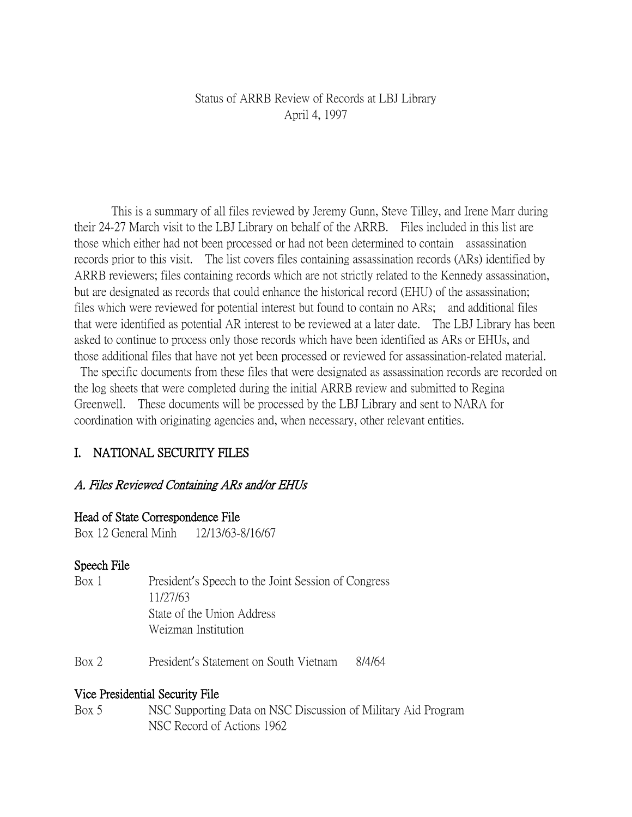## Status of ARRB Review of Records at LBJ Library April 4, 1997

This is a summary of all files reviewed by Jeremy Gunn, Steve Tilley, and Irene Marr during their 24-27 March visit to the LBJ Library on behalf of the ARRB. Files included in this list are those which either had not been processed or had not been determined to contain assassination records prior to this visit. The list covers files containing assassination records (ARs) identified by ARRB reviewers; files containing records which are not strictly related to the Kennedy assassination, but are designated as records that could enhance the historical record (EHU) of the assassination; files which were reviewed for potential interest but found to contain no ARs; and additional files that were identified as potential AR interest to be reviewed at a later date. The LBJ Library has been asked to continue to process only those records which have been identified as ARs or EHUs, and those additional files that have not yet been processed or reviewed for assassination-related material.

The specific documents from these files that were designated as assassination records are recorded on the log sheets that were completed during the initial ARRB review and submitted to Regina Greenwell. These documents will be processed by the LBJ Library and sent to NARA for coordination with originating agencies and, when necessary, other relevant entities.

# I. NATIONAL SECURITY FILES

### A. Files Reviewed Containing ARs and/or EHUs

#### Head of State Correspondence File

Box 12 General Minh 12/13/63-8/16/67

### Speech File

- Box 1 President's Speech to the Joint Session of Congress 11/27/63 State of the Union Address Weizman Institution
- Box 2 President's Statement on South Vietnam 8/4/64

### Vice Presidential Security File

Box 5 NSC Supporting Data on NSC Discussion of Military Aid Program NSC Record of Actions 1962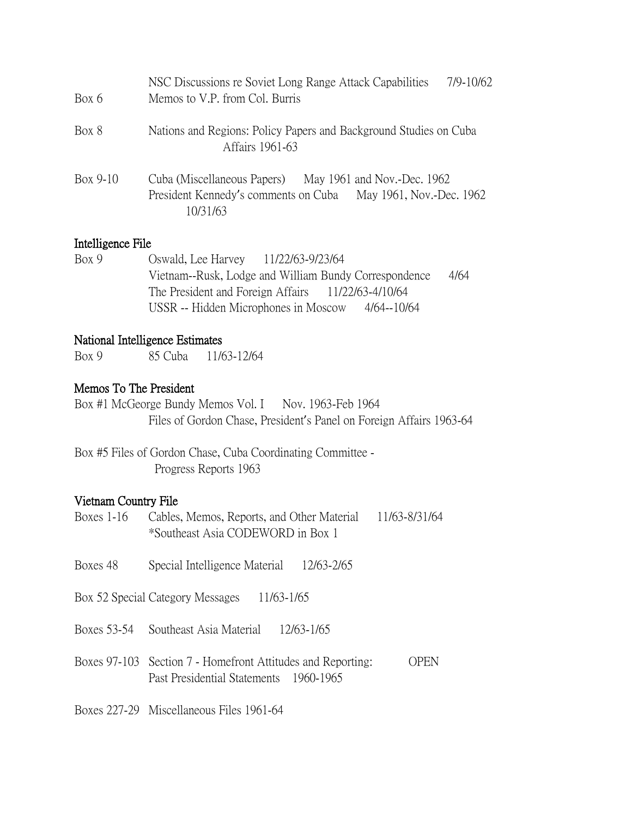| Box 6      | NSC Discussions re Soviet Long Range Attack Capabilities<br>7/9-10/62<br>Memos to V.P. from Col. Burris                                 |
|------------|-----------------------------------------------------------------------------------------------------------------------------------------|
| Box 8      | Nations and Regions: Policy Papers and Background Studies on Cuba<br>Affairs 1961-63                                                    |
| $Box 9-10$ | Cuba (Miscellaneous Papers) May 1961 and Nov.-Dec. 1962<br>President Kennedy's comments on Cuba<br>May 1961, Nov.-Dec. 1962<br>10/31/63 |

## Intelligence File

Box 9 Oswald, Lee Harvey 11/22/63-9/23/64 Vietnam--Rusk, Lodge and William Bundy Correspondence 4/64 The President and Foreign Affairs 11/22/63-4/10/64 USSR -- Hidden Microphones in Moscow 4/64--10/64

### National Intelligence Estimates

Box 9 85 Cuba 11/63-12/64

# Memos To The President

Box #1 McGeorge Bundy Memos Vol. I Nov. 1963-Feb 1964 Files of Gordon Chase, President's Panel on Foreign Affairs 1963-64

Box #5 Files of Gordon Chase, Cuba Coordinating Committee - Progress Reports 1963

# Vietnam Country File

| Boxes 1-16  | Cables, Memos, Reports, and Other Material<br>*Southeast Asia CODEWORD in Box 1                       | 11/63-8/31/64 |
|-------------|-------------------------------------------------------------------------------------------------------|---------------|
| Boxes 48    | 12/63-2/65<br>Special Intelligence Material                                                           |               |
|             | Box 52 Special Category Messages<br>11/63-1/65                                                        |               |
| Boxes 53-54 | 12/63-1/65<br>Southeast Asia Material                                                                 |               |
|             | Boxes 97-103 Section 7 - Homefront Attitudes and Reporting:<br>Past Presidential Statements 1960-1965 | OPEN          |

Boxes 227-29 Miscellaneous Files 1961-64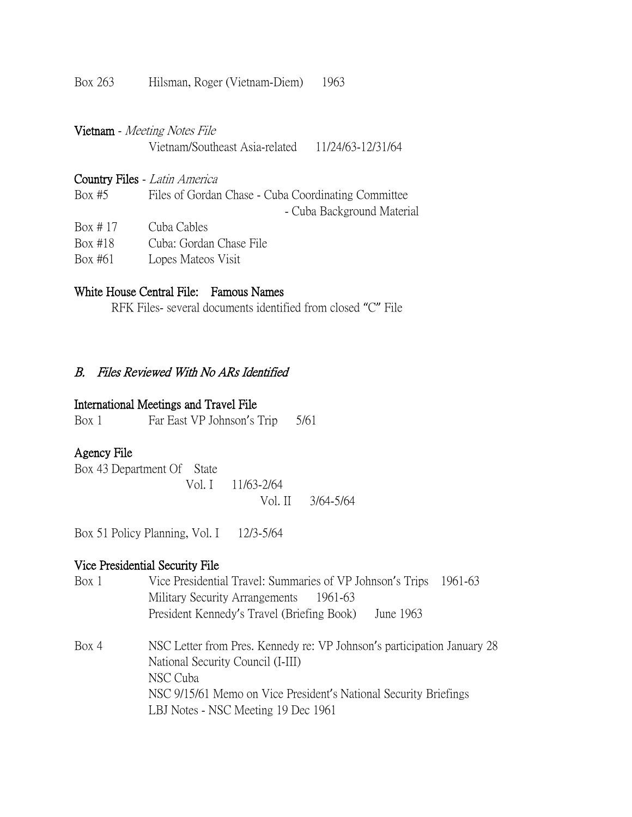Box 263 Hilsman, Roger (Vietnam-Diem) 1963

|             | Vietnam - Meeting Notes File                        |                            |
|-------------|-----------------------------------------------------|----------------------------|
|             | Vietnam/Southeast Asia-related 11/24/63-12/31/64    |                            |
|             | Country Files - Latin America                       |                            |
| Box $#5$    | Files of Gordan Chase - Cuba Coordinating Committee | - Cuba Background Material |
| Box $\#$ 17 | Cuba Cables                                         |                            |
| Box #18     | Cuba: Gordan Chase File                             |                            |
| Box #61     | Lopes Mateos Visit                                  |                            |

## White House Central File: Famous Names

RFK Files- several documents identified from closed "C" File

#### B. Files Reviewed With No ARs Identified

## International Meetings and Travel File

Box 1 Far East VP Johnson's Trip 5/61

## Agency File

Box 43 Department Of State Vol. I 11/63-2/64 Vol. II 3/64-5/64

Box 51 Policy Planning, Vol. I 12/3-5/64

# Vice Presidential Security File

| Box 1 | Vice Presidential Travel: Summaries of VP Johnson's Trips 1961-63       |  |  |  |  |
|-------|-------------------------------------------------------------------------|--|--|--|--|
|       | Military Security Arrangements<br>1961-63                               |  |  |  |  |
|       | President Kennedy's Travel (Briefing Book)<br>June 1963                 |  |  |  |  |
| Box 4 | NSC Letter from Pres. Kennedy re: VP Johnson's participation January 28 |  |  |  |  |
|       | National Security Council (I-III)                                       |  |  |  |  |
|       | NSC Cuba                                                                |  |  |  |  |
|       | NSC 9/15/61 Memo on Vice President's National Security Briefings        |  |  |  |  |
|       | LBJ Notes - NSC Meeting 19 Dec 1961                                     |  |  |  |  |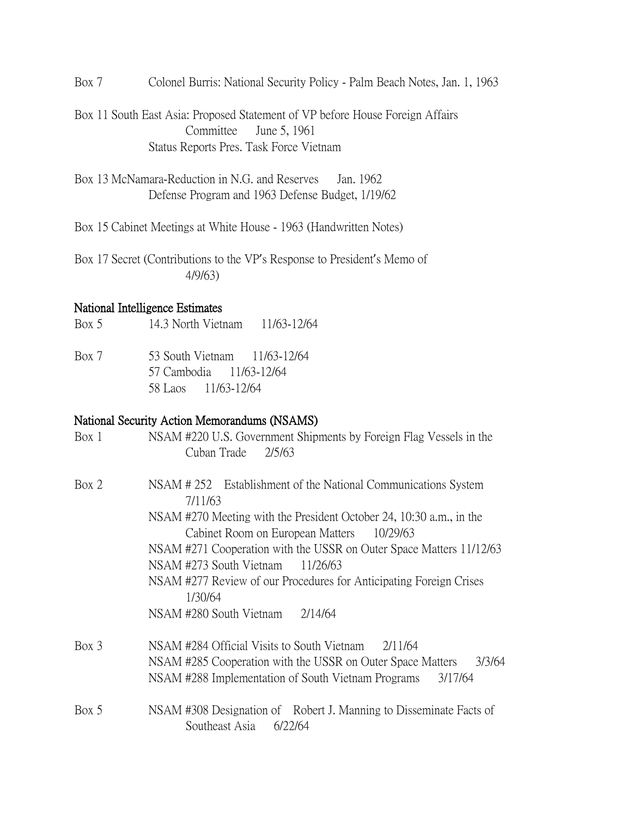Box 7 Colonel Burris: National Security Policy - Palm Beach Notes, Jan. 1, 1963

Box 11 South East Asia: Proposed Statement of VP before House Foreign Affairs Committee June 5, 1961 Status Reports Pres. Task Force Vietnam

Box 13 McNamara-Reduction in N.G. and Reserves Jan. 1962 Defense Program and 1963 Defense Budget, 1/19/62

Box 15 Cabinet Meetings at White House - 1963 (Handwritten Notes)

Box 17 Secret (Contributions to the VP's Response to President's Memo of 4/9/63)

#### National Intelligence Estimates

Box 5 14.3 North Vietnam 11/63-12/64

Box 7 53 South Vietnam 11/63-12/64 57 Cambodia 11/63-12/64 58 Laos 11/63-12/64

### National Security Action Memorandums (NSAMS)

| Box 1   | NSAM #220 U.S. Government Shipments by Foreign Flag Vessels in the<br>Cuban Trade<br>2/5/63     |
|---------|-------------------------------------------------------------------------------------------------|
| Box 2   | NSAM #252 Establishment of the National Communications System<br>7/11/63                        |
|         | NSAM #270 Meeting with the President October 24, 10:30 a.m., in the                             |
|         | Cabinet Room on European Matters<br>10/29/63                                                    |
|         | NSAM #271 Cooperation with the USSR on Outer Space Matters 11/12/63                             |
|         | NSAM #273 South Vietnam<br>11/26/63                                                             |
|         | NSAM #277 Review of our Procedures for Anticipating Foreign Crises<br>1/30/64                   |
|         | NSAM #280 South Vietnam<br>2/14/64                                                              |
| $Box$ 3 | NSAM #284 Official Visits to South Vietnam<br>2/11/64                                           |
|         | NSAM #285 Cooperation with the USSR on Outer Space Matters<br>3/3/64                            |
|         | NSAM #288 Implementation of South Vietnam Programs<br>3/17/64                                   |
| Box 5   | NSAM #308 Designation of Robert J. Manning to Disseminate Facts of<br>Southeast Asia<br>6/22/64 |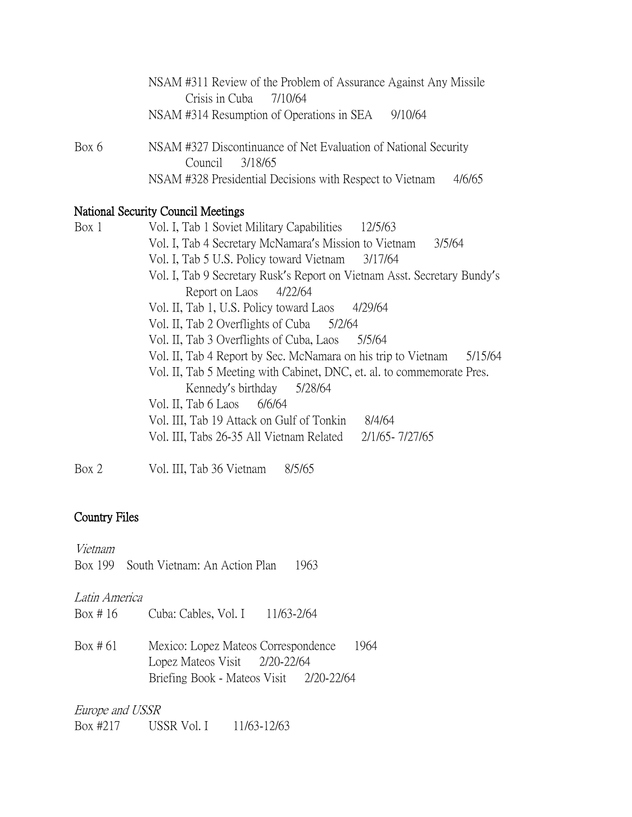|       | NSAM #311 Review of the Problem of Assurance Against Any Missile                   |
|-------|------------------------------------------------------------------------------------|
|       | Crisis in Cuba 7/10/64                                                             |
|       | NSAM #314 Resumption of Operations in SEA<br>9/10/64                               |
| Box 6 | NSAM #327 Discontinuance of Net Evaluation of National Security<br>Council 3/18/65 |
|       | NSAM #328 Presidential Decisions with Respect to Vietnam<br>4/6/65                 |

# National Security Council Meetings

| Box 1 | Vol. I, Tab 1 Soviet Military Capabilities<br>12/5/63                    |
|-------|--------------------------------------------------------------------------|
|       | Vol. I, Tab 4 Secretary McNamara's Mission to Vietnam<br>3/5/64          |
|       | Vol. I, Tab 5 U.S. Policy toward Vietnam<br>3/17/64                      |
|       | Vol. I, Tab 9 Secretary Rusk's Report on Vietnam Asst. Secretary Bundy's |
|       | Report on Laos 4/22/64                                                   |
|       | Vol. II, Tab 1, U.S. Policy toward Laos<br>4/29/64                       |
|       | Vol. II, Tab 2 Overflights of Cuba 5/2/64                                |
|       | Vol. II, Tab 3 Overflights of Cuba, Laos<br>5/5/64                       |
|       | Vol. II, Tab 4 Report by Sec. McNamara on his trip to Vietnam<br>5/15/64 |
|       | Vol. II, Tab 5 Meeting with Cabinet, DNC, et. al. to commemorate Pres.   |
|       | Kennedy's birthday 5/28/64                                               |
|       | Vol. II, Tab $6$ Laos $6/6/64$                                           |
|       | Vol. III, Tab 19 Attack on Gulf of Tonkin<br>8/4/64                      |
|       | Vol. III, Tabs 26-35 All Vietnam Related<br>2/1/65-7/27/65               |
|       |                                                                          |

Box 2 Vol. III, Tab 36 Vietnam 8/5/65

# Country Files

Vietnam

| Box 199 South Vietnam: An Action Plan |  |  | 1963 |
|---------------------------------------|--|--|------|
|                                       |  |  |      |

# Latin America

| Box #16  | Cuba: Cables, Vol. I 11/63-2/64                                      |      |  |
|----------|----------------------------------------------------------------------|------|--|
| Box # 61 | Mexico: Lopez Mateos Correspondence<br>Lopez Mateos Visit 2/20-22/64 | 1964 |  |
|          | Briefing Book - Mateos Visit 2/20-22/64                              |      |  |

Europe and USSR Box #217 USSR Vol. I 11/63-12/63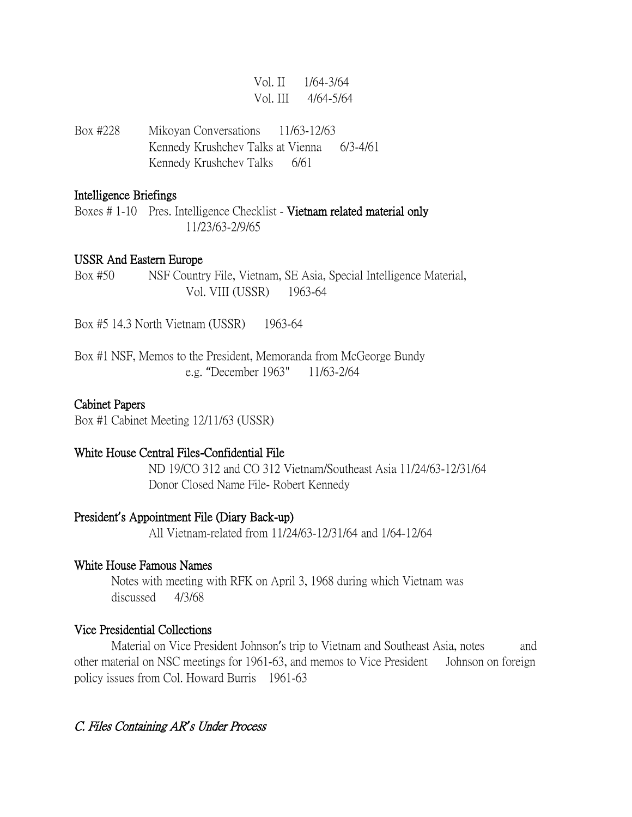|  | Vol. II 1/64-3/64  |
|--|--------------------|
|  | Vol. III 4/64-5/64 |

Box #228 Mikoyan Conversations 11/63-12/63 Kennedy Krushchev Talks at Vienna 6/3-4/61 Kennedy Krushchev Talks 6/61

#### Intelligence Briefings

Boxes # 1-10 Pres. Intelligence Checklist - Vietnam related material only 11/23/63-2/9/65

#### USSR And Eastern Europe

Box #50 NSF Country File, Vietnam, SE Asia, Special Intelligence Material, Vol. VIII (USSR) 1963-64

Box #5 14.3 North Vietnam (USSR) 1963-64

Box #1 NSF, Memos to the President, Memoranda from McGeorge Bundy e.g. "December 1963" 11/63-2/64

### Cabinet Papers

Box #1 Cabinet Meeting 12/11/63 (USSR)

#### White House Central Files-Confidential File

ND 19/CO 312 and CO 312 Vietnam/Southeast Asia 11/24/63-12/31/64 Donor Closed Name File- Robert Kennedy

#### President**'**s Appointment File (Diary Back-up)

All Vietnam-related from 11/24/63-12/31/64 and 1/64-12/64

#### White House Famous Names

Notes with meeting with RFK on April 3, 1968 during which Vietnam was discussed 4/3/68

#### Vice Presidential Collections

Material on Vice President Johnson's trip to Vietnam and Southeast Asia, notes and other material on NSC meetings for 1961-63, and memos to Vice President Johnson on foreign policy issues from Col. Howard Burris 1961-63

#### C. Files Containing AR*'*s Under Process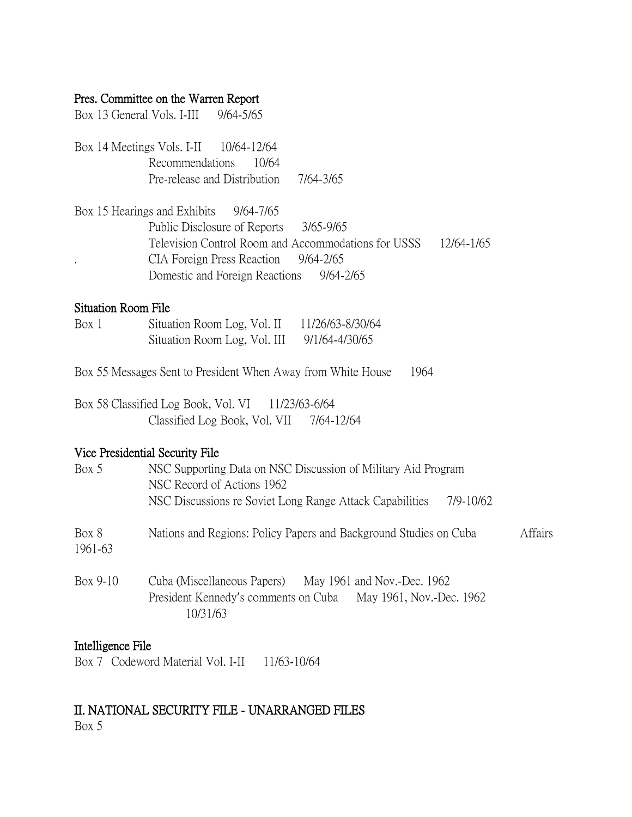### Pres. Committee on the Warren Report

Box 13 General Vols. I-III 9/64-5/65

Box 14 Meetings Vols. I-II 10/64-12/64 Recommendations 10/64 Pre-release and Distribution 7/64-3/65

Box 15 Hearings and Exhibits 9/64-7/65 Public Disclosure of Reports 3/65-9/65 Television Control Room and Accommodations for USSS 12/64-1/65 CIA Foreign Press Reaction 9/64-2/65 Domestic and Foreign Reactions 9/64-2/65

### Situation Room File

| Box 1 | Situation Room Log, Vol. II  | 11/26/63-8/30/64 |
|-------|------------------------------|------------------|
|       | Situation Room Log, Vol. III | 9/1/64-4/30/65   |

- Box 55 Messages Sent to President When Away from White House 1964
- Box 58 Classified Log Book, Vol. VI 11/23/63-6/64 Classified Log Book, Vol. VII 7/64-12/64

## Vice Presidential Security File

| Box 5            | NSC Supporting Data on NSC Discussion of Military Aid Program<br>NSC Record of Actions 1962<br>NSC Discussions re Soviet Long Range Attack Capabilities<br>7/9-10/62 |                |
|------------------|----------------------------------------------------------------------------------------------------------------------------------------------------------------------|----------------|
| Box 8<br>1961-63 | Nations and Regions: Policy Papers and Background Studies on Cuba                                                                                                    | <b>Affairs</b> |
| Box 9-10         | Cuba (Miscellaneous Papers) May 1961 and Nov.-Dec. 1962<br>President Kennedy's comments on Cuba May 1961, Nov.-Dec. 1962<br>10/31/63                                 |                |

### Intelligence File

Box 7 Codeword Material Vol. I-II 11/63-10/64

# II. NATIONAL SECURITY FILE - UNARRANGED FILES

Box 5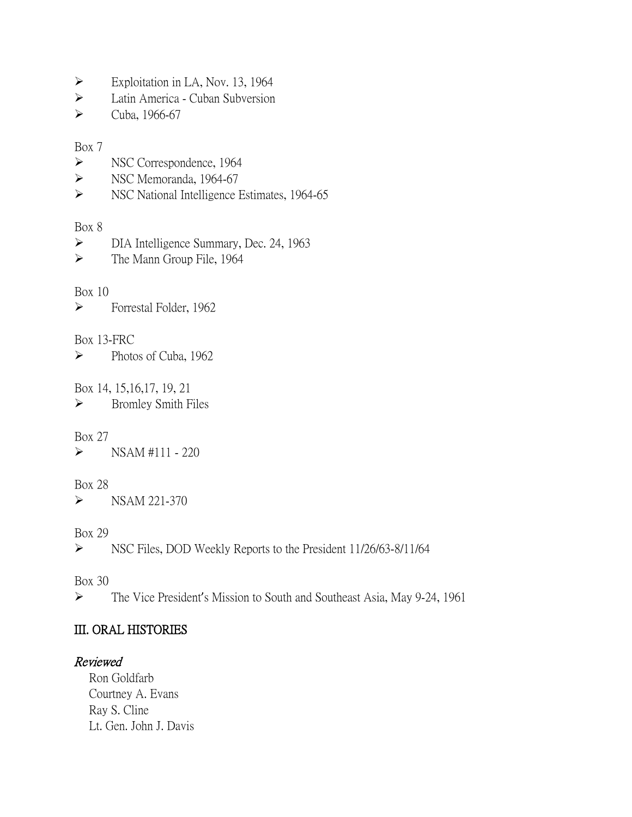- $\triangleright$  Exploitation in LA, Nov. 13, 1964
- Latin America Cuban Subversion
- $\blacktriangleright$  Cuba, 1966-67

### Box 7

- Subsequence, 1964
- Simple Superior NSC Memoranda, 1964-67
- Subsequence Estimates, 1964-65

## Box 8

- DIA Intelligence Summary, Dec. 24, 1963
- > The Mann Group File, 1964

# Box 10

Forrestal Folder, 1962

# Box 13-FRC

 $\blacktriangleright$  Photos of Cuba, 1962

## Box 14, 15,16,17, 19, 21

 $\triangleright$  Bromley Smith Files

# Box 27

 $\triangleright$  NSAM #111 - 220

# Box 28

 $\triangleright$  NSAM 221-370

Box 29

NSC Files, DOD Weekly Reports to the President 11/26/63-8/11/64

Box 30

The Vice President's Mission to South and Southeast Asia, May 9-24, 1961

# III. ORAL HISTORIES

# Reviewed

Ron Goldfarb Courtney A. Evans Ray S. Cline Lt. Gen. John J. Davis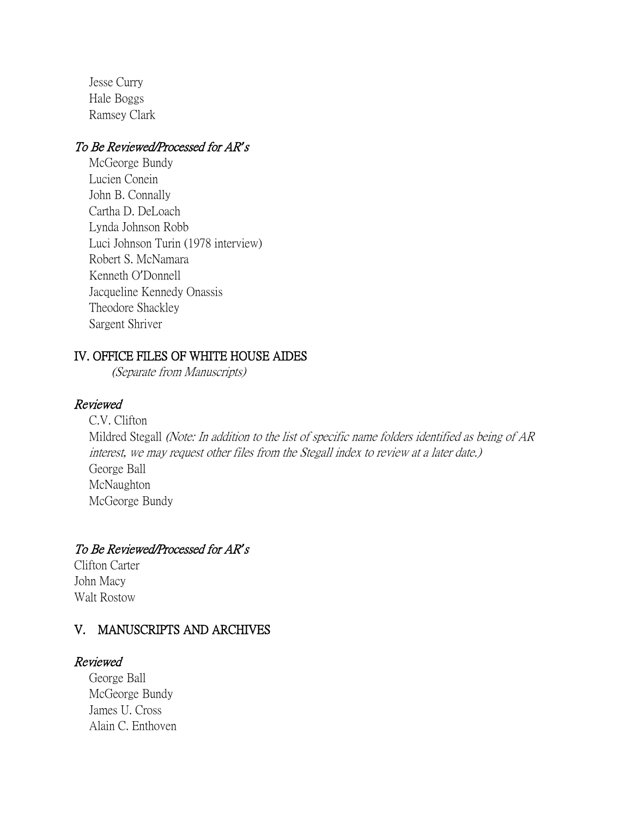Jesse Curry Hale Boggs Ramsey Clark

## To Be Reviewed/Processed for AR*'*<sup>s</sup>

McGeorge Bundy Lucien Conein John B. Connally Cartha D. DeLoach Lynda Johnson Robb Luci Johnson Turin (1978 interview) Robert S. McNamara Kenneth O'Donnell Jacqueline Kennedy Onassis Theodore Shackley Sargent Shriver

## IV. OFFICE FILES OF WHITE HOUSE AIDES

(Separate from Manuscripts)

# Reviewed

C.V. Clifton Mildred Stegall (Note: In addition to the list of specific name folders identified as being of AR interest, we may request other files from the Stegall index to review at a later date.) George Ball McNaughton McGeorge Bundy

# To Be Reviewed/Processed for AR*'*<sup>s</sup>

Clifton Carter John Macy Walt Rostow

# V. MANUSCRIPTS AND ARCHIVES

# Reviewed

George Ball McGeorge Bundy James U. Cross Alain C. Enthoven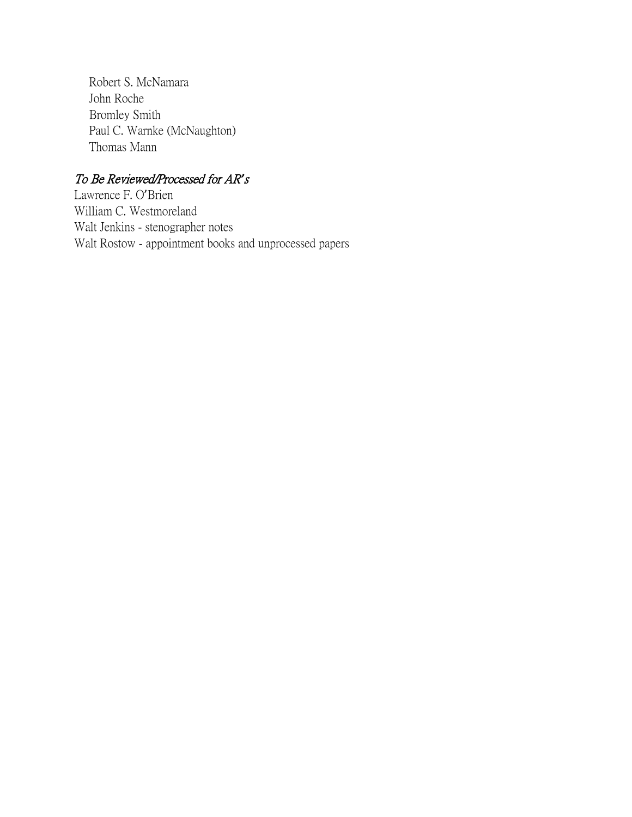Robert S. McNamara John Roche Bromley Smith Paul C. Warnke (McNaughton) Thomas Mann

# To Be Reviewed/Processed for AR*'*<sup>s</sup>

Lawrence F. O'Brien William C. Westmoreland Walt Jenkins - stenographer notes Walt Rostow - appointment books and unprocessed papers